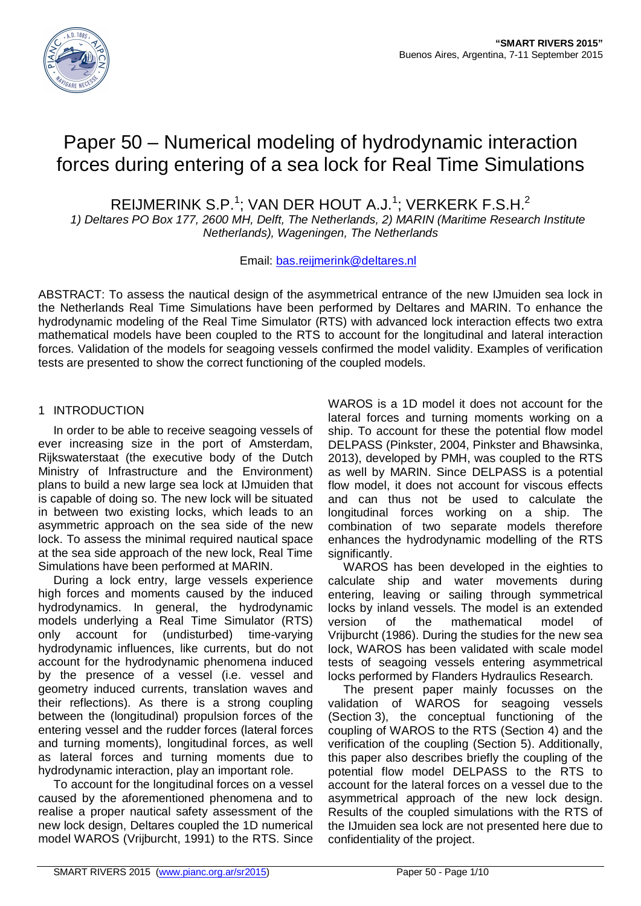

# Paper 50 – Numerical modeling of hydrodynamic interaction forces during entering of a sea lock for Real Time Simulations

REIJMERINK S.P.<sup>1</sup>; VAN DER HOUT A.J.<sup>1</sup>; VERKERK F.S.H.<sup>2</sup>

*1) Deltares PO Box 177, 2600 MH, Delft, The Netherlands, 2) MARIN (Maritime Research Institute Netherlands), Wageningen, The Netherlands*

## Email: bas.reijmerink@deltares.nl

ABSTRACT: To assess the nautical design of the asymmetrical entrance of the new IJmuiden sea lock in the Netherlands Real Time Simulations have been performed by Deltares and MARIN. To enhance the hydrodynamic modeling of the Real Time Simulator (RTS) with advanced lock interaction effects two extra mathematical models have been coupled to the RTS to account for the longitudinal and lateral interaction forces. Validation of the models for seagoing vessels confirmed the model validity. Examples of verification tests are presented to show the correct functioning of the coupled models.

## 1 INTRODUCTION

In order to be able to receive seagoing vessels of ever increasing size in the port of Amsterdam, Rijkswaterstaat (the executive body of the Dutch Ministry of Infrastructure and the Environment) plans to build a new large sea lock at IJmuiden that is capable of doing so. The new lock will be situated in between two existing locks, which leads to an asymmetric approach on the sea side of the new lock. To assess the minimal required nautical space at the sea side approach of the new lock, Real Time Simulations have been performed at MARIN.

During a lock entry, large vessels experience high forces and moments caused by the induced hydrodynamics. In general, the hydrodynamic models underlying a Real Time Simulator (RTS) only account for (undisturbed) time-varying hydrodynamic influences, like currents, but do not account for the hydrodynamic phenomena induced by the presence of a vessel (i.e. vessel and geometry induced currents, translation waves and their reflections). As there is a strong coupling between the (longitudinal) propulsion forces of the entering vessel and the rudder forces (lateral forces and turning moments), longitudinal forces, as well as lateral forces and turning moments due to hydrodynamic interaction, play an important role.

To account for the longitudinal forces on a vessel caused by the aforementioned phenomena and to realise a proper nautical safety assessment of the new lock design, Deltares coupled the 1D numerical model WAROS (Vrijburcht, 1991) to the RTS. Since

WAROS is a 1D model it does not account for the lateral forces and turning moments working on a ship. To account for these the potential flow model DELPASS (Pinkster, 2004, Pinkster and Bhawsinka, 2013), developed by PMH, was coupled to the RTS as well by MARIN. Since DELPASS is a potential flow model, it does not account for viscous effects and can thus not be used to calculate the longitudinal forces working on a ship. The combination of two separate models therefore enhances the hydrodynamic modelling of the RTS significantly.

WAROS has been developed in the eighties to calculate ship and water movements during entering, leaving or sailing through symmetrical locks by inland vessels. The model is an extended version of the mathematical model of Vrijburcht (1986). During the studies for the new sea lock, WAROS has been validated with scale model tests of seagoing vessels entering asymmetrical locks performed by Flanders Hydraulics Research.

The present paper mainly focusses on the validation of WAROS for seagoing vessels (Section 3), the conceptual functioning of the coupling of WAROS to the RTS (Section 4) and the verification of the coupling (Section 5). Additionally, this paper also describes briefly the coupling of the potential flow model DELPASS to the RTS to account for the lateral forces on a vessel due to the asymmetrical approach of the new lock design. Results of the coupled simulations with the RTS of the IJmuiden sea lock are not presented here due to confidentiality of the project.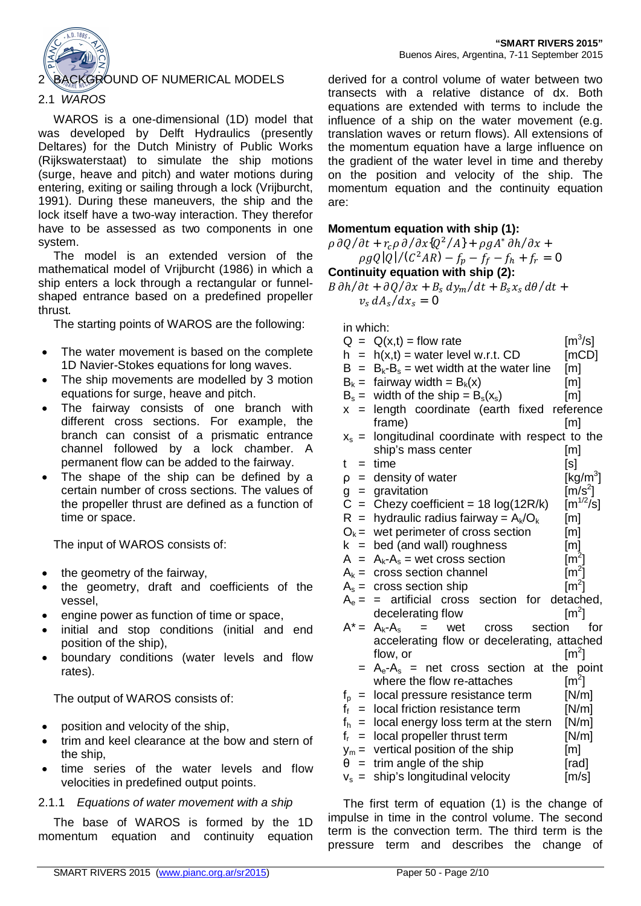

## KGROUND OF NUMERICAL MODELS

## 2.1 *WAROS*

WAROS is a one-dimensional (1D) model that was developed by Delft Hydraulics (presently Deltares) for the Dutch Ministry of Public Works (Rijkswaterstaat) to simulate the ship motions (surge, heave and pitch) and water motions during entering, exiting or sailing through a lock (Vrijburcht, 1991). During these maneuvers, the ship and the lock itself have a two-way interaction. They therefor have to be assessed as two components in one system.

The model is an extended version of the mathematical model of Vrijburcht (1986) in which a ship enters a lock through a rectangular or funnelshaped entrance based on a predefined propeller thrust.

The starting points of WAROS are the following:

- The water movement is based on the complete 1D Navier-Stokes equations for long waves.
- The ship movements are modelled by 3 motion equations for surge, heave and pitch.
- The fairway consists of one branch with different cross sections. For example, the branch can consist of a prismatic entrance channel followed by a lock chamber. A permanent flow can be added to the fairway.
- The shape of the ship can be defined by a certain number of cross sections. The values of the propeller thrust are defined as a function of time or space.

The input of WAROS consists of:

- the geometry of the fairway,
- the geometry, draft and coefficients of the vessel,
- engine power as function of time or space,
- initial and stop conditions (initial and end position of the ship),
- boundary conditions (water levels and flow rates).

The output of WAROS consists of:

- position and velocity of the ship,
- trim and keel clearance at the bow and stern of the ship,
- time series of the water levels and flow velocities in predefined output points.

## 2.1.1 *Equations of water movement with a ship*

The base of WAROS is formed by the 1D momentum equation and continuity equation

derived for a control volume of water between two transects with a relative distance of dx. Both equations are extended with terms to include the influence of a ship on the water movement (e.g. translation waves or return flows). All extensions of the momentum equation have a large influence on the gradient of the water level in time and thereby on the position and velocity of the ship. The momentum equation and the continuity equation are:

**Momentum equation with ship (1):**  $\rho \partial Q/\partial t + r_c \rho \partial / \partial x \mathbf{Q}^2 / A$ } +  $\rho g A^* \partial h / \partial x$  +

 $\rho g Q | Q | / (C^2 AR) - f_p - f_f - f_h + f_r = 0$ **Continuity equation with ship (2):**

 $B \frac{\partial h}{\partial t} + \frac{\partial Q}{\partial x} + B_s \frac{dy_m}{dt} + B_s x_s \frac{d\theta}{dt} +$  $v_s dA_s/dx_s = 0$ 

in which:

| $Q =$                                         | $Q(x,t) = flow$ rate                                 | $\text{[m}^3\text{/s]}$   |
|-----------------------------------------------|------------------------------------------------------|---------------------------|
| $h =$                                         | $h(x,t)$ = water level w.r.t. CD                     | [mCD]                     |
| $B =$                                         | $B_k - B_s$ = wet width at the water line            | [m]                       |
| $B_k =$                                       | fairway width = $B_k(x)$                             | [m]                       |
| $B_s =$                                       | width of the ship = $B_s(x_s)$                       | [ <sub>m</sub> ]          |
| $x =$                                         | length coordinate (earth fixed reference             |                           |
|                                               | frame)                                               | $\lceil m \rceil$         |
| $X_{\rm s}$ =                                 | longitudinal coordinate with respect to the          |                           |
|                                               | ship's mass center                                   | [m]                       |
| t<br>$=$                                      | time                                                 | [s]                       |
| $\rho =$                                      | density of water                                     | [kg/m <sup>3</sup> ]      |
|                                               | gravitation                                          | $[m/s^2]$                 |
| $\begin{array}{c} 9 = 0 \\ C = 0 \end{array}$ | Chezy coefficient = $18 \log(12R/k)$                 | $\lceil m^{1/2}/s \rceil$ |
| $R =$                                         | hydraulic radius fairway = $A_k/O_k$                 | $\lceil m \rceil$         |
| $O_k =$                                       | wet perimeter of cross section                       | [m]                       |
| $k =$                                         | bed (and wall) roughness                             | [ <sub>m</sub> ]          |
| $A =$                                         | $A_k - A_s$ = wet cross section                      | $\text{[m}^2\text{]}$     |
| $A_k =$                                       | cross section channel                                | $\lceil m^2 \rceil$       |
| $A_s =$                                       | cross section ship                                   | $\lceil m^2 \rceil$       |
| $A_e =$                                       | artificial cross section<br>for<br>$=$               | detached,                 |
|                                               | decelerating flow                                    | $\lceil m^2 \rceil$       |
| $A^* =$                                       | $A_k - A_s$<br>wet<br>section<br>$=$<br><b>Cross</b> | for                       |
|                                               | accelerating flow or decelerating, attached          |                           |
|                                               | flow, or                                             | $\text{Im}^2$             |
| $=$                                           | $A_e - A_s$ = net cross section at                   | the<br>point              |
|                                               | where the flow re-attaches                           | $\text{[m}^2\text{]}$     |
| $f_{\rm p}$ =                                 | local pressure resistance term                       | [N/m]                     |
| $f_f$<br>$=$                                  | local friction resistance term                       | [N/m]                     |
| $f_h$<br>$=$                                  | local energy loss term at the stern                  | [N/m]                     |
| f,<br>$=$                                     | local propeller thrust term                          | [N/m]                     |
| $y_m =$                                       | vertical position of the ship                        | [m]                       |
| θ<br>$=$                                      | trim angle of the ship                               | [rad]                     |
| $V_{\rm s}$ =                                 | ship's longitudinal velocity                         | [m/s]                     |

The first term of equation (1) is the change of impulse in time in the control volume. The second term is the convection term. The third term is the pressure term and describes the change of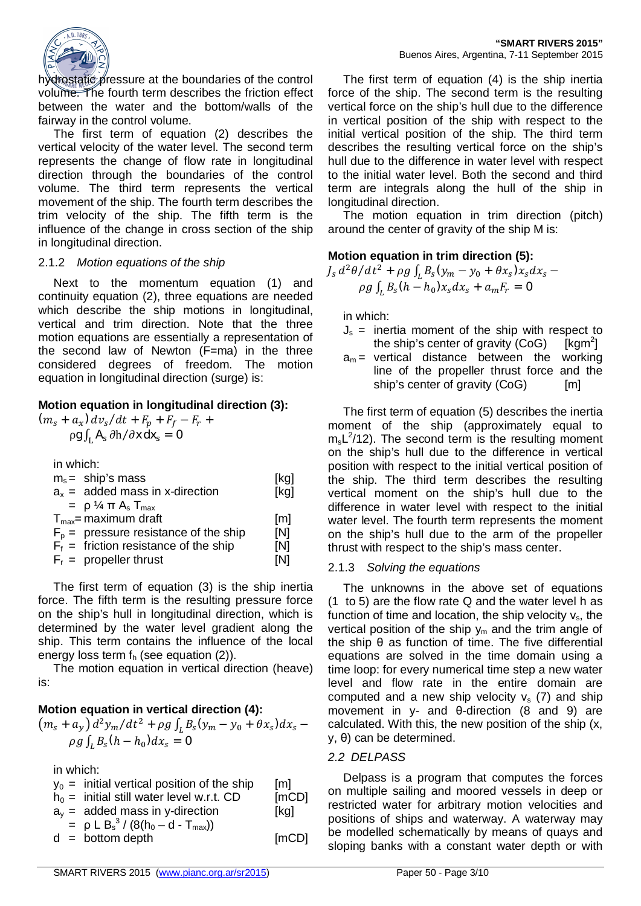

hydrostatic pressure at the boundaries of the control volume. The fourth term describes the friction effect between the water and the bottom/walls of the fairway in the control volume.

The first term of equation (2) describes the vertical velocity of the water level. The second term represents the change of flow rate in longitudinal direction through the boundaries of the control volume. The third term represents the vertical movement of the ship. The fourth term describes the trim velocity of the ship. The fifth term is the influence of the change in cross section of the ship in longitudinal direction.

#### 2.1.2 *Motion equations of the ship*

Next to the momentum equation (1) and continuity equation (2), three equations are needed which describe the ship motions in longitudinal, vertical and trim direction. Note that the three motion equations are essentially a representation of the second law of Newton (F=ma) in the three considered degrees of freedom. The motion equation in longitudinal direction (surge) is:

## **Motion equation in longitudinal direction (3):**

 $(m_s + a_x) dv_s/dt + F_p + F_f - F_r +$  $\rho$ g  $\int_{\rm L}$  A $_{\rm s}$   $\partial{\rm h}/\partial{\bf x}$  dx $_{\rm s}$   $=$  0

in which:

| $m_s$ = ship's mass                                                                                                                                                                                    | [kg]                                   |
|--------------------------------------------------------------------------------------------------------------------------------------------------------------------------------------------------------|----------------------------------------|
| $a_x$ = added mass in x-direction                                                                                                                                                                      | [kg]                                   |
| $= \rho$ % $\pi$ A <sub>s</sub> T <sub>max</sub><br>$T_{\text{max}}$ = maximum draft<br>$F_p$ = pressure resistance of the ship<br>$F_f$ = friction resistance of the ship<br>$F_r =$ propeller thrust | $\lceil m \rceil$<br>[N]<br>[N]<br>[N] |

The first term of equation (3) is the ship inertia force. The fifth term is the resulting pressure force on the ship's hull in longitudinal direction, which is determined by the water level gradient along the ship. This term contains the influence of the local energy loss term  $f<sub>h</sub>$  (see equation (2)).

The motion equation in vertical direction (heave) is:

## **Motion equation in vertical direction (4):**

$$
(m_s + a_y) d^2 y_m / dt^2 + \rho g \int_L B_s \mathbf{V}_m - y_0 + \theta x_s \mathbf{J} dx_s - \rho g \int_L B_s \mathbf{V}_n - h_0 \mathbf{J} dx_s = \mathbf{0}
$$

in which:

| $y_0$ = initial vertical position of the ship | [m]   |
|-----------------------------------------------|-------|
| $h_0 =$ initial still water level w.r.t. CD   | [mCD] |
| $a_v$ = added mass in y-direction             | [kq]  |
| $= \rho L B_s^3 / (8(h_0 - d - T_{max}))$     |       |
| $d = bottom depth$                            | [mCD] |

The first term of equation (4) is the ship inertia force of the ship. The second term is the resulting vertical force on the ship's hull due to the difference in vertical position of the ship with respect to the initial vertical position of the ship. The third term describes the resulting vertical force on the ship's hull due to the difference in water level with respect to the initial water level. Both the second and third term are integrals along the hull of the ship in longitudinal direction.

The motion equation in trim direction (pitch) around the center of gravity of the ship M is:

## **Motion equation in trim direction (5):**

 $J_s d^2\theta/dt^2 + \rho g \int_L B_s \mathbf{V}_m - y_0 + \theta x_s \mathbf{X}_s dx_s \rho g \int_L B_S \mathbf{U} h - h_0 \mathbf{J} x_S dx_S + a_m F_r = \mathbf{0}$ 

in which:

- $J_s$  = inertia moment of the ship with respect to the ship's center of gravity  $(CoG)$  $[kqm<sup>2</sup>]$
- $a_m$  = vertical distance between the working line of the propeller thrust force and the ship's center of gravity (CoG) [m]

The first term of equation (5) describes the inertia moment of the ship (approximately equal to  $m_s L^2/12$ ). The second term is the resulting moment on the ship's hull due to the difference in vertical position with respect to the initial vertical position of the ship. The third term describes the resulting vertical moment on the ship's hull due to the difference in water level with respect to the initial water level. The fourth term represents the moment on the ship's hull due to the arm of the propeller thrust with respect to the ship's mass center.

## 2.1.3 *Solving the equations*

The unknowns in the above set of equations (1 to 5) are the flow rate Q and the water level h as function of time and location, the ship velocity  $v<sub>s</sub>$ , the vertical position of the ship  $y_m$  and the trim angle of the ship  $\theta$  as function of time. The five differential equations are solved in the time domain using a time loop: for every numerical time step a new water level and flow rate in the entire domain are computed and a new ship velocity  $v_s$  (7) and ship movement in  $y$ - and  $\theta$ -direction (8 and 9) are calculated. With this, the new position of the ship (x,  $y, \theta$ ) can be determined.

## *2.2 DELPASS*

Delpass is a program that computes the forces on multiple sailing and moored vessels in deep or restricted water for arbitrary motion velocities and positions of ships and waterway. A waterway may be modelled schematically by means of quays and sloping banks with a constant water depth or with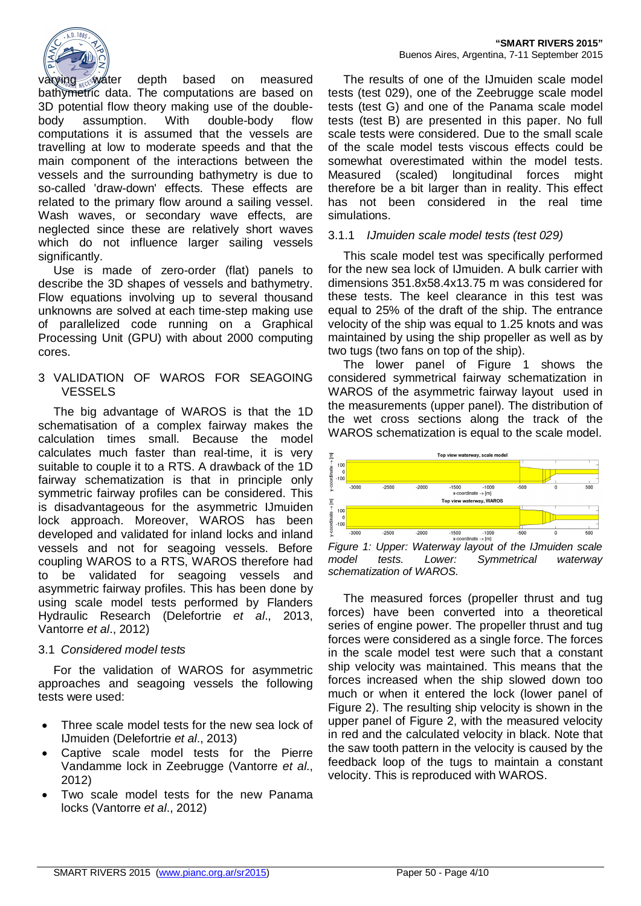

varying water depth based on measured bathymetric data. The computations are based on 3D potential flow theory making use of the doublebody assumption. With double-body flow computations it is assumed that the vessels are travelling at low to moderate speeds and that the main component of the interactions between the vessels and the surrounding bathymetry is due to so-called 'draw-down' effects. These effects are related to the primary flow around a sailing vessel. Wash waves, or secondary wave effects, are neglected since these are relatively short waves which do not influence larger sailing vessels significantly.

Use is made of zero-order (flat) panels to describe the 3D shapes of vessels and bathymetry. Flow equations involving up to several thousand unknowns are solved at each time-step making use of parallelized code running on a Graphical Processing Unit (GPU) with about 2000 computing cores.

#### 3 VALIDATION OF WAROS FOR SEAGOING VESSELS

The big advantage of WAROS is that the 1D schematisation of a complex fairway makes the calculation times small. Because the model calculates much faster than real-time, it is very suitable to couple it to a RTS. A drawback of the 1D fairway schematization is that in principle only symmetric fairway profiles can be considered. This is disadvantageous for the asymmetric IJmuiden lock approach. Moreover, WAROS has been developed and validated for inland locks and inland vessels and not for seagoing vessels. Before coupling WAROS to a RTS, WAROS therefore had to be validated for seagoing vessels and asymmetric fairway profiles. This has been done by using scale model tests performed by Flanders Hydraulic Research (Delefortrie *et al*., 2013, Vantorre *et al*., 2012)

## 3.1 *Considered model tests*

For the validation of WAROS for asymmetric approaches and seagoing vessels the following tests were used:

- Three scale model tests for the new sea lock of IJmuiden (Delefortrie *et al*., 2013)
- Captive scale model tests for the Pierre Vandamme lock in Zeebrugge (Vantorre *et al*., 2012)
- Two scale model tests for the new Panama locks (Vantorre *et al*., 2012)

The results of one of the IJmuiden scale model tests (test 029), one of the Zeebrugge scale model tests (test G) and one of the Panama scale model tests (test B) are presented in this paper. No full scale tests were considered. Due to the small scale of the scale model tests viscous effects could be somewhat overestimated within the model tests. Measured (scaled) longitudinal forces might therefore be a bit larger than in reality. This effect has not been considered in the real time simulations.

## 3.1.1 *IJmuiden scale model tests (test 029)*

This scale model test was specifically performed for the new sea lock of IJmuiden. A bulk carrier with dimensions 351.8x58.4x13.75 m was considered for these tests. The keel clearance in this test was equal to 25% of the draft of the ship. The entrance velocity of the ship was equal to 1.25 knots and was maintained by using the ship propeller as well as by two tugs (two fans on top of the ship).

The lower panel of Figure 1 shows the considered symmetrical fairway schematization in WAROS of the asymmetric fairway layout used in the measurements (upper panel). The distribution of the wet cross sections along the track of the WAROS schematization is equal to the scale model.



*Figure 1: Upper: Waterway layout of the IJmuiden scale model tests. Lower: Symmetrical waterway schematization of WAROS.*

The measured forces (propeller thrust and tug forces) have been converted into a theoretical series of engine power. The propeller thrust and tug forces were considered as a single force. The forces in the scale model test were such that a constant ship velocity was maintained. This means that the forces increased when the ship slowed down too much or when it entered the lock (lower panel of Figure 2). The resulting ship velocity is shown in the upper panel of Figure 2, with the measured velocity in red and the calculated velocity in black. Note that the saw tooth pattern in the velocity is caused by the feedback loop of the tugs to maintain a constant velocity. This is reproduced with WAROS.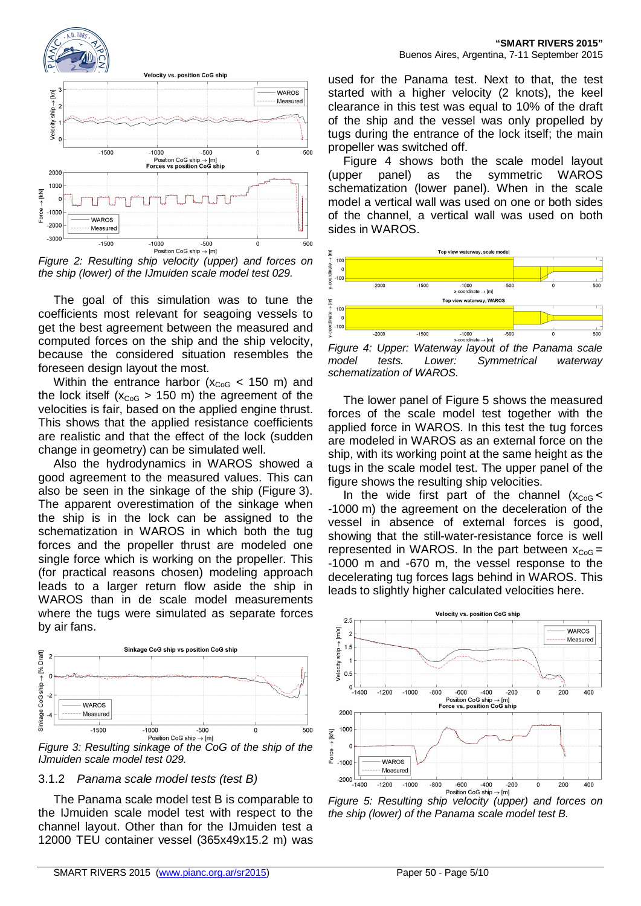

*Figure 2: Resulting ship velocity (upper) and forces on the ship (lower) of the IJmuiden scale model test 029.*

The goal of this simulation was to tune the coefficients most relevant for seagoing vessels to get the best agreement between the measured and computed forces on the ship and the ship velocity, because the considered situation resembles the foreseen design layout the most.

Within the entrance harbor ( $x_{CoG}$  < 150 m) and the lock itself ( $x_{CoG} > 150$  m) the agreement of the velocities is fair, based on the applied engine thrust. This shows that the applied resistance coefficients are realistic and that the effect of the lock (sudden change in geometry) can be simulated well.

Also the hydrodynamics in WAROS showed a good agreement to the measured values. This can also be seen in the sinkage of the ship (Figure 3). The apparent overestimation of the sinkage when the ship is in the lock can be assigned to the schematization in WAROS in which both the tug forces and the propeller thrust are modeled one single force which is working on the propeller. This (for practical reasons chosen) modeling approach leads to a larger return flow aside the ship in WAROS than in de scale model measurements where the tugs were simulated as separate forces by air fans.



*Figure 3: Resulting sinkage of the CoG of the ship of the IJmuiden scale model test 029.*

## 3.1.2 *Panama scale model tests (test B)*

The Panama scale model test B is comparable to the IJmuiden scale model test with respect to the channel layout. Other than for the IJmuiden test a 12000 TEU container vessel (365x49x15.2 m) was

used for the Panama test. Next to that, the test started with a higher velocity (2 knots), the keel clearance in this test was equal to 10% of the draft of the ship and the vessel was only propelled by tugs during the entrance of the lock itself; the main propeller was switched off.

Figure 4 shows both the scale model layout (upper panel) as the symmetric WAROS schematization (lower panel). When in the scale model a vertical wall was used on one or both sides of the channel, a vertical wall was used on both sides in WAROS.



*Figure 4: Upper: Waterway layout of the Panama scale model tests. Lower: Symmetrical waterway schematization of WAROS.*

The lower panel of Figure 5 shows the measured forces of the scale model test together with the applied force in WAROS. In this test the tug forces are modeled in WAROS as an external force on the ship, with its working point at the same height as the tugs in the scale model test. The upper panel of the figure shows the resulting ship velocities.

In the wide first part of the channel  $(x_{CoG}$ -1000 m) the agreement on the deceleration of the vessel in absence of external forces is good, showing that the still-water-resistance force is well represented in WAROS. In the part between  $x_{CoG} =$ -1000 m and -670 m, the vessel response to the decelerating tug forces lags behind in WAROS. This leads to slightly higher calculated velocities here.



*the ship (lower) of the Panama scale model test B.*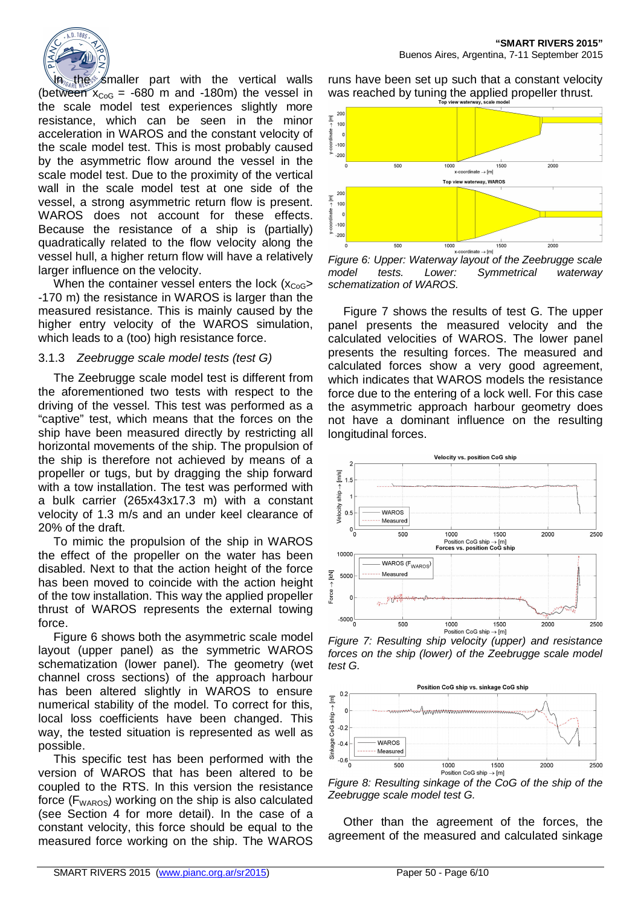

In the smaller part with the vertical walls (between  $x_{\text{Cog}} = -680$  m and -180m) the vessel in the scale model test experiences slightly more resistance, which can be seen in the minor acceleration in WAROS and the constant velocity of the scale model test. This is most probably caused by the asymmetric flow around the vessel in the scale model test. Due to the proximity of the vertical wall in the scale model test at one side of the vessel, a strong asymmetric return flow is present. WAROS does not account for these effects. Because the resistance of a ship is (partially) quadratically related to the flow velocity along the vessel hull, a higher return flow will have a relatively larger influence on the velocity.

When the container vessel enters the lock  $(x_{CoG}$ -170 m) the resistance in WAROS is larger than the measured resistance. This is mainly caused by the higher entry velocity of the WAROS simulation, which leads to a (too) high resistance force.

#### 3.1.3 *Zeebrugge scale model tests (test G)*

The Zeebrugge scale model test is different from the aforementioned two tests with respect to the driving of the vessel. This test was performed as a "captive" test, which means that the forces on the ship have been measured directly by restricting all horizontal movements of the ship. The propulsion of the ship is therefore not achieved by means of a propeller or tugs, but by dragging the ship forward with a tow installation. The test was performed with a bulk carrier (265x43x17.3 m) with a constant velocity of 1.3 m/s and an under keel clearance of 20% of the draft.

To mimic the propulsion of the ship in WAROS the effect of the propeller on the water has been disabled. Next to that the action height of the force has been moved to coincide with the action height of the tow installation. This way the applied propeller thrust of WAROS represents the external towing force.

Figure 6 shows both the asymmetric scale model layout (upper panel) as the symmetric WAROS schematization (lower panel). The geometry (wet channel cross sections) of the approach harbour has been altered slightly in WAROS to ensure numerical stability of the model. To correct for this, local loss coefficients have been changed. This way, the tested situation is represented as well as possible.

This specific test has been performed with the version of WAROS that has been altered to be coupled to the RTS. In this version the resistance force ( $F_{\text{WAROS}}$ ) working on the ship is also calculated (see Section 4 for more detail). In the case of a constant velocity, this force should be equal to the measured force working on the ship. The WAROS

runs have been set up such that a constant velocity was reached by tuning the applied propeller thrust.



*Figure 6: Upper: Waterway layout of the Zeebrugge scale model tests. Lower: Symmetrical waterway schematization of WAROS.*

Figure 7 shows the results of test G. The upper panel presents the measured velocity and the calculated velocities of WAROS. The lower panel presents the resulting forces. The measured and calculated forces show a very good agreement, which indicates that WAROS models the resistance force due to the entering of a lock well. For this case the asymmetric approach harbour geometry does not have a dominant influence on the resulting longitudinal forces.



*Figure 7: Resulting ship velocity (upper) and resistance forces on the ship (lower) of the Zeebrugge scale model test G.*



*Figure 8: Resulting sinkage of the CoG of the ship of the Zeebrugge scale model test G.*

Other than the agreement of the forces, the agreement of the measured and calculated sinkage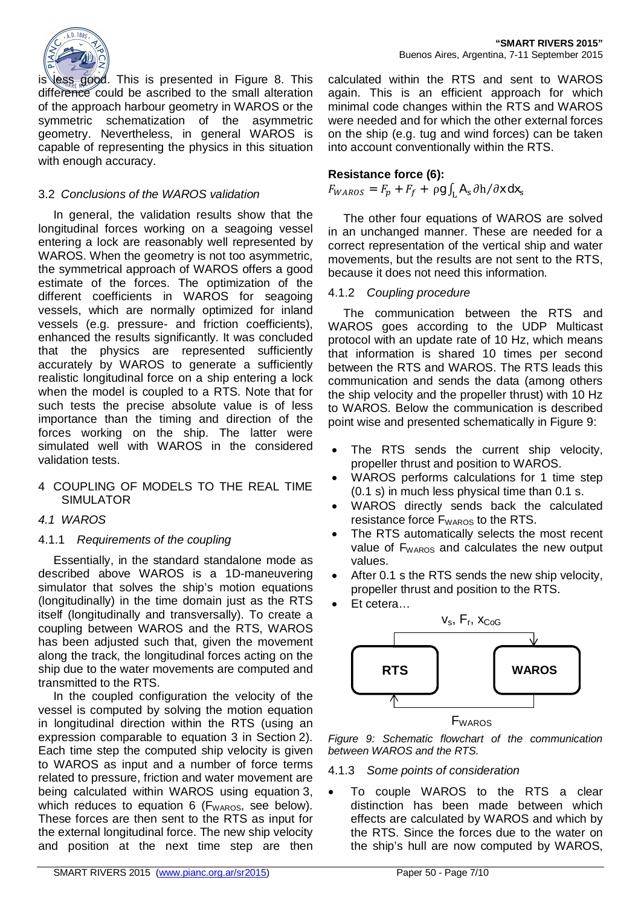

is less good. This is presented in Figure 8. This difference could be ascribed to the small alteration of the approach harbour geometry in WAROS or the symmetric schematization of the asymmetric geometry. Nevertheless, in general WAROS is capable of representing the physics in this situation with enough accuracy.

## 3.2 *Conclusions of the WAROS validation*

In general, the validation results show that the longitudinal forces working on a seagoing vessel entering a lock are reasonably well represented by WAROS. When the geometry is not too asymmetric, the symmetrical approach of WAROS offers a good estimate of the forces. The optimization of the different coefficients in WAROS for seagoing vessels, which are normally optimized for inland vessels (e.g. pressure- and friction coefficients), enhanced the results significantly. It was concluded that the physics are represented sufficiently accurately by WAROS to generate a sufficiently realistic longitudinal force on a ship entering a lock when the model is coupled to a RTS. Note that for such tests the precise absolute value is of less importance than the timing and direction of the forces working on the ship. The latter were simulated well with WAROS in the considered validation tests.

## 4 COUPLING OF MODELS TO THE REAL TIME SIMULATOR

## *4.1 WAROS*

## 4.1.1 *Requirements of the coupling*

Essentially, in the standard standalone mode as described above WAROS is a 1D-maneuvering simulator that solves the ship's motion equations (longitudinally) in the time domain just as the RTS itself (longitudinally and transversally). To create a coupling between WAROS and the RTS, WAROS has been adjusted such that, given the movement along the track, the longitudinal forces acting on the ship due to the water movements are computed and transmitted to the RTS.

In the coupled configuration the velocity of the vessel is computed by solving the motion equation in longitudinal direction within the RTS (using an expression comparable to equation 3 in Section 2). Each time step the computed ship velocity is given to WAROS as input and a number of force terms related to pressure, friction and water movement are being calculated within WAROS using equation 3, which reduces to equation 6 ( $F_{\text{WAROS}}$ , see below). These forces are then sent to the RTS as input for the external longitudinal force. The new ship velocity and position at the next time step are then

calculated within the RTS and sent to WAROS again. This is an efficient approach for which minimal code changes within the RTS and WAROS were needed and for which the other external forces on the ship (e.g. tug and wind forces) can be taken into account conventionally within the RTS.

## **Resistance force (6):**

## $F_{WAROS} = F_p + F_f + \rho g \int_L \mathbf{A}_s \partial \mathbf{h} / \partial \mathbf{x} \, d\mathbf{x}_s$

The other four equations of WAROS are solved in an unchanged manner. These are needed for a correct representation of the vertical ship and water movements, but the results are not sent to the RTS, because it does not need this information.

## 4.1.2 *Coupling procedure*

The communication between the RTS and WAROS goes according to the UDP Multicast protocol with an update rate of 10 Hz, which means that information is shared 10 times per second between the RTS and WAROS. The RTS leads this communication and sends the data (among others the ship velocity and the propeller thrust) with 10 Hz to WAROS. Below the communication is described point wise and presented schematically in Figure 9:

- The RTS sends the current ship velocity, propeller thrust and position to WAROS.
- WAROS performs calculations for 1 time step (0.1 s) in much less physical time than 0.1 s.
- WAROS directly sends back the calculated resistance force  $F_{\text{WAROS}}$  to the RTS.
- The RTS automatically selects the most recent value of F<sub>WAROS</sub> and calculates the new output values.
- After 0.1 s the RTS sends the new ship velocity. propeller thrust and position to the RTS.
- Et cetera...



*Figure 9: Schematic flowchart of the communication between WAROS and the RTS.*

#### 4.1.3 *Some points of consideration*

• To couple WAROS to the RTS a clear distinction has been made between which effects are calculated by WAROS and which by the RTS. Since the forces due to the water on the ship's hull are now computed by WAROS,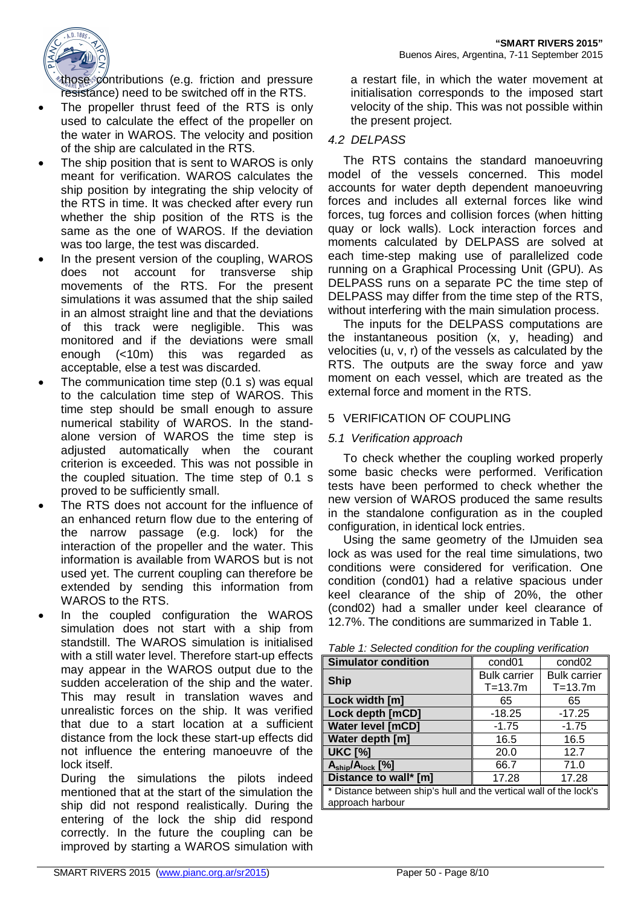

those  $\phi$  ontributions (e.g. friction and pressure resistance) need to be switched off in the RTS.

- The propeller thrust feed of the RTS is only used to calculate the effect of the propeller on the water in WAROS. The velocity and position of the ship are calculated in the RTS.
- The ship position that is sent to WAROS is only meant for verification. WAROS calculates the ship position by integrating the ship velocity of the RTS in time. It was checked after every run whether the ship position of the RTS is the same as the one of WAROS. If the deviation was too large, the test was discarded.
- In the present version of the coupling, WAROS does not account for transverse ship movements of the RTS. For the present simulations it was assumed that the ship sailed in an almost straight line and that the deviations of this track were negligible. This was monitored and if the deviations were small enough (<10m) this was regarded as acceptable, else a test was discarded.
- The communication time step  $(0.1 s)$  was equal to the calculation time step of WAROS. This time step should be small enough to assure numerical stability of WAROS. In the standalone version of WAROS the time step is adjusted automatically when the courant criterion is exceeded. This was not possible in the coupled situation. The time step of 0.1 s proved to be sufficiently small.
- The RTS does not account for the influence of an enhanced return flow due to the entering of the narrow passage (e.g. lock) for the interaction of the propeller and the water. This information is available from WAROS but is not used yet. The current coupling can therefore be extended by sending this information from WAROS to the RTS.
- In the coupled configuration the WAROS simulation does not start with a ship from standstill. The WAROS simulation is initialised with a still water level. Therefore start-up effects may appear in the WAROS output due to the sudden acceleration of the ship and the water. This may result in translation waves and unrealistic forces on the ship. It was verified that due to a start location at a sufficient distance from the lock these start-up effects did not influence the entering manoeuvre of the lock itself.

During the simulations the pilots indeed mentioned that at the start of the simulation the ship did not respond realistically. During the entering of the lock the ship did respond correctly. In the future the coupling can be improved by starting a WAROS simulation with

a restart file, in which the water movement at initialisation corresponds to the imposed start velocity of the ship. This was not possible within the present project.

## *4.2 DELPASS*

The RTS contains the standard manoeuvring model of the vessels concerned. This model accounts for water depth dependent manoeuvring forces and includes all external forces like wind forces, tug forces and collision forces (when hitting quay or lock walls). Lock interaction forces and moments calculated by DELPASS are solved at each time-step making use of parallelized code running on a Graphical Processing Unit (GPU). As DELPASS runs on a separate PC the time step of DELPASS may differ from the time step of the RTS, without interfering with the main simulation process.

The inputs for the DELPASS computations are the instantaneous position (x, y, heading) and velocities (u, v, r) of the vessels as calculated by the RTS. The outputs are the sway force and yaw moment on each vessel, which are treated as the external force and moment in the RTS.

## 5 VERIFICATION OF COUPLING

## *5.1 Verification approach*

To check whether the coupling worked properly some basic checks were performed. Verification tests have been performed to check whether the new version of WAROS produced the same results in the standalone configuration as in the coupled configuration, in identical lock entries.

Using the same geometry of the IJmuiden sea lock as was used for the real time simulations, two conditions were considered for verification. One condition (cond01) had a relative spacious under keel clearance of the ship of 20%, the other (cond02) had a smaller under keel clearance of 12.7%. The conditions are summarized in Table 1.

| <b>Simulator condition</b>                                         | cond <sub>01</sub>  | cond <sub>02</sub>  |  |  |
|--------------------------------------------------------------------|---------------------|---------------------|--|--|
|                                                                    | <b>Bulk carrier</b> | <b>Bulk carrier</b> |  |  |
| <b>Ship</b>                                                        | $T = 13.7m$         | $T = 13.7m$         |  |  |
| Lock width [m]                                                     | 65                  | 65                  |  |  |
| Lock depth [mCD]                                                   | $-18.25$            | $-17.25$            |  |  |
| <b>Water level [mCD]</b>                                           | $-1.75$             | $-1.75$             |  |  |
| Water depth [m]                                                    | 16.5                | 16.5                |  |  |
| <b>UKC [%]</b>                                                     | 20.0                | 12.7                |  |  |
| A <sub>ship</sub> /A <sub>lock</sub> [%]                           | 66.7                | 71.0                |  |  |
| Distance to wall* [m]                                              | 17.28               | 17.28               |  |  |
| * Distance between ship's hull and the vertical wall of the lock's |                     |                     |  |  |
| approach harbour                                                   |                     |                     |  |  |

*Table 1: Selected condition for the coupling verification*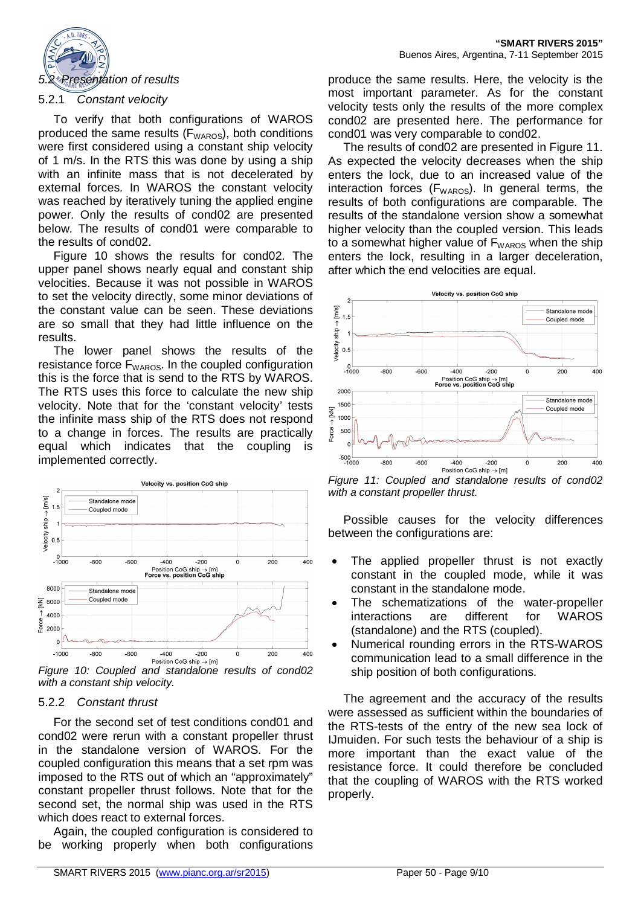

To verify that both configurations of WAROS produced the same results (F<sub>WAROS</sub>), both conditions were first considered using a constant ship velocity of 1 m/s. In the RTS this was done by using a ship with an infinite mass that is not decelerated by external forces. In WAROS the constant velocity was reached by iteratively tuning the applied engine power. Only the results of cond02 are presented below. The results of cond01 were comparable to the results of cond02.

Figure 10 shows the results for cond02. The upper panel shows nearly equal and constant ship velocities. Because it was not possible in WAROS to set the velocity directly, some minor deviations of the constant value can be seen. These deviations are so small that they had little influence on the results.

The lower panel shows the results of the resistance force  $F_{\text{WAROS}}$ . In the coupled configuration this is the force that is send to the RTS by WAROS. The RTS uses this force to calculate the new ship velocity. Note that for the 'constant velocity' tests the infinite mass ship of the RTS does not respond to a change in forces. The results are practically equal which indicates that the coupling is implemented correctly.



*Figure 10: Coupled and standalone results of cond02 with a constant ship velocity.*

#### 5.2.2 *Constant thrust*

For the second set of test conditions cond01 and cond02 were rerun with a constant propeller thrust in the standalone version of WAROS. For the coupled configuration this means that a set rpm was imposed to the RTS out of which an "approximately" constant propeller thrust follows. Note that for the second set, the normal ship was used in the RTS which does react to external forces.

Again, the coupled configuration is considered to be working properly when both configurations

produce the same results. Here, the velocity is the most important parameter. As for the constant velocity tests only the results of the more complex cond02 are presented here. The performance for cond01 was very comparable to cond02.

The results of cond02 are presented in Figure 11. As expected the velocity decreases when the ship enters the lock, due to an increased value of the interaction forces ( $F_{WAROS}$ ). In general terms, the results of both configurations are comparable. The results of the standalone version show a somewhat higher velocity than the coupled version. This leads to a somewhat higher value of  $F_{WAROS}$  when the ship enters the lock, resulting in a larger deceleration, after which the end velocities are equal.



*Figure 11: Coupled and standalone results of cond02 with a constant propeller thrust.*

Possible causes for the velocity differences between the configurations are:

- The applied propeller thrust is not exactly constant in the coupled mode, while it was constant in the standalone mode.
- The schematizations of the water-propeller interactions are different for WAROS (standalone) and the RTS (coupled).
- Numerical rounding errors in the RTS-WAROS communication lead to a small difference in the ship position of both configurations.

The agreement and the accuracy of the results were assessed as sufficient within the boundaries of the RTS-tests of the entry of the new sea lock of IJmuiden. For such tests the behaviour of a ship is more important than the exact value of the resistance force. It could therefore be concluded that the coupling of WAROS with the RTS worked properly.